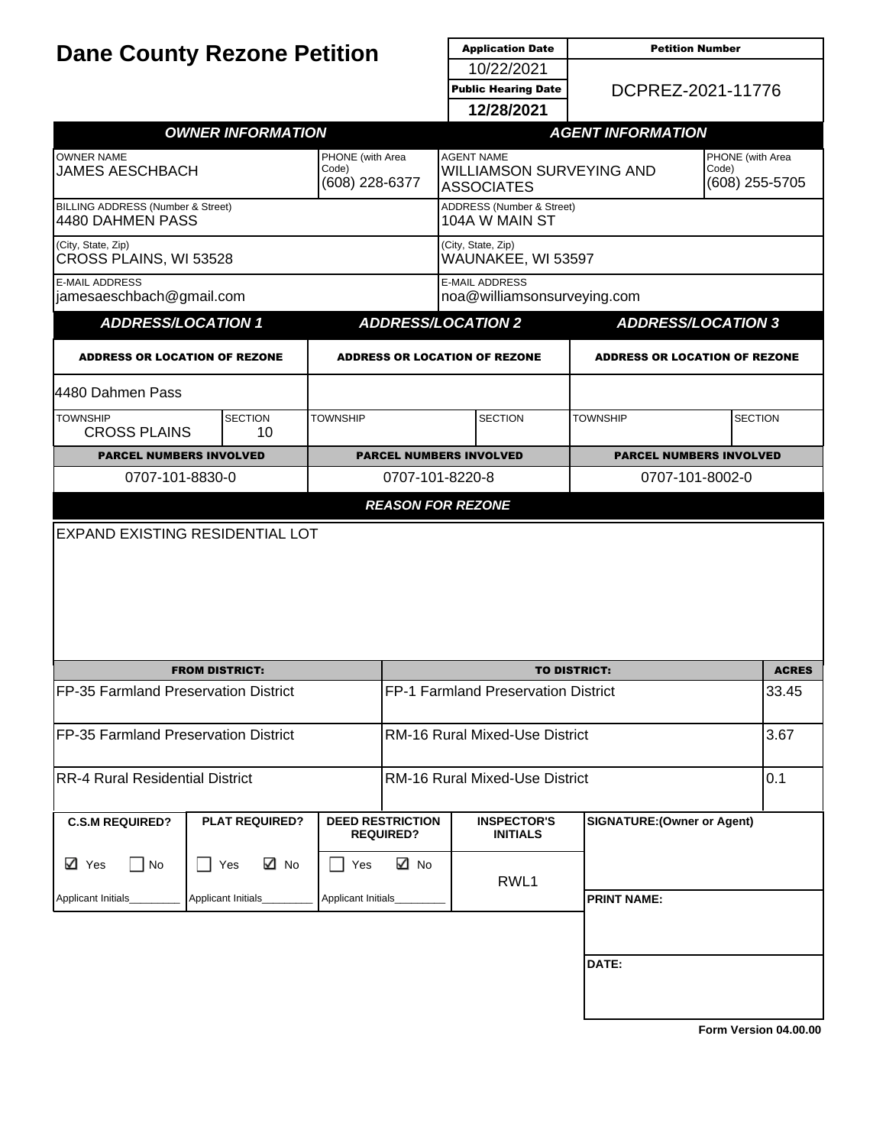| <b>Dane County Rezone Petition</b>                                                         |                          |                    |                                                                           | <b>Application Date</b>                                                      | <b>Petition Number</b>             |                |  |
|--------------------------------------------------------------------------------------------|--------------------------|--------------------|---------------------------------------------------------------------------|------------------------------------------------------------------------------|------------------------------------|----------------|--|
|                                                                                            |                          |                    |                                                                           | 10/22/2021                                                                   |                                    |                |  |
|                                                                                            |                          |                    |                                                                           | DCPREZ-2021-11776<br><b>Public Hearing Date</b>                              |                                    |                |  |
|                                                                                            |                          |                    |                                                                           | 12/28/2021                                                                   |                                    |                |  |
|                                                                                            | <b>OWNER INFORMATION</b> |                    |                                                                           |                                                                              | <b>AGENT INFORMATION</b>           |                |  |
| <b>OWNER NAME</b><br>PHONE (with Area<br>Code)<br><b>JAMES AESCHBACH</b><br>(608) 228-6377 |                          |                    | <b>AGENT NAME</b><br><b>WILLIAMSON SURVEYING AND</b><br><b>ASSOCIATES</b> | PHONE (with Area<br>Code)<br>(608) 255-5705                                  |                                    |                |  |
| <b>BILLING ADDRESS (Number &amp; Street)</b><br>4480 DAHMEN PASS                           |                          |                    |                                                                           | ADDRESS (Number & Street)<br>104A W MAIN ST                                  |                                    |                |  |
| (City, State, Zip)<br>CROSS PLAINS, WI 53528                                               |                          |                    |                                                                           | (City, State, Zip)<br>WAUNAKEE, WI 53597                                     |                                    |                |  |
| <b>E-MAIL ADDRESS</b><br>jamesaeschbach@gmail.com                                          |                          |                    |                                                                           | <b>E-MAIL ADDRESS</b><br>noa@williamsonsurveying.com                         |                                    |                |  |
| <b>ADDRESS/LOCATION 1</b>                                                                  |                          |                    |                                                                           | <b>ADDRESS/LOCATION 2</b><br><b>ADDRESS/LOCATION 3</b>                       |                                    |                |  |
| <b>ADDRESS OR LOCATION OF REZONE</b>                                                       |                          |                    |                                                                           | <b>ADDRESS OR LOCATION OF REZONE</b><br><b>ADDRESS OR LOCATION OF REZONE</b> |                                    |                |  |
| 4480 Dahmen Pass                                                                           |                          |                    |                                                                           |                                                                              |                                    |                |  |
| <b>TOWNSHIP</b><br><b>CROSS PLAINS</b>                                                     | <b>SECTION</b><br>10     | <b>TOWNSHIP</b>    |                                                                           | <b>SECTION</b>                                                               | <b>TOWNSHIP</b>                    | <b>SECTION</b> |  |
| <b>PARCEL NUMBERS INVOLVED</b>                                                             |                          |                    |                                                                           | <b>PARCEL NUMBERS INVOLVED</b>                                               | <b>PARCEL NUMBERS INVOLVED</b>     |                |  |
| 0707-101-8830-0                                                                            |                          |                    |                                                                           | 0707-101-8220-8<br>0707-101-8002-0                                           |                                    |                |  |
|                                                                                            |                          |                    | <b>REASON FOR REZONE</b>                                                  |                                                                              |                                    |                |  |
|                                                                                            |                          |                    |                                                                           |                                                                              |                                    |                |  |
|                                                                                            | <b>FROM DISTRICT:</b>    |                    |                                                                           |                                                                              | <b>TO DISTRICT:</b>                | <b>ACRES</b>   |  |
| FP-35 Farmland Preservation District                                                       |                          |                    | FP-1 Farmland Preservation District                                       |                                                                              |                                    | 33.45          |  |
| FP-35 Farmland Preservation District                                                       |                          |                    | <b>RM-16 Rural Mixed-Use District</b>                                     |                                                                              |                                    | 3.67           |  |
| <b>RR-4 Rural Residential District</b>                                                     |                          |                    | <b>RM-16 Rural Mixed-Use District</b>                                     |                                                                              |                                    | 0.1            |  |
| <b>C.S.M REQUIRED?</b>                                                                     | <b>PLAT REQUIRED?</b>    |                    | <b>DEED RESTRICTION</b><br><b>REQUIRED?</b>                               | <b>INSPECTOR'S</b><br><b>INITIALS</b>                                        | <b>SIGNATURE: (Owner or Agent)</b> |                |  |
| <b>⊡</b> Yes<br>No                                                                         | ⊠ No<br>Yes              | Yes                | ⊠ No                                                                      | RWL1                                                                         |                                    |                |  |
| Applicant Initials                                                                         | Applicant Initials_      | Applicant Initials |                                                                           |                                                                              | <b>PRINT NAME:</b>                 |                |  |
|                                                                                            |                          |                    |                                                                           |                                                                              | DATE:                              |                |  |
|                                                                                            |                          |                    |                                                                           |                                                                              |                                    |                |  |
|                                                                                            |                          |                    |                                                                           |                                                                              |                                    |                |  |

**[Form Version 04.00.00](http://sql2008-reports/Reports/Pages/Resource.aspx?ItemPath=%2fDocumentation%2fReport+Index.docx)**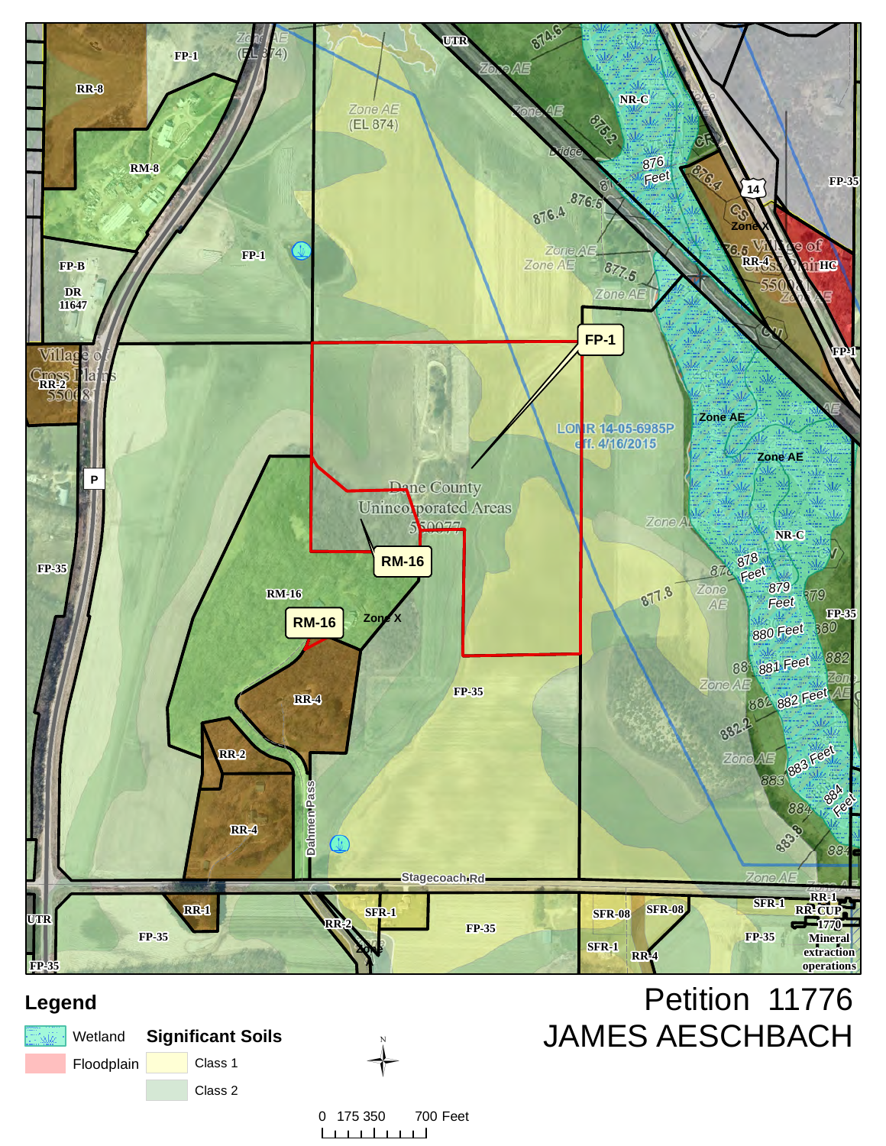

### **Legend**





0 175 350 700 Feet <u>na mata</u>  $\mathbf{1}$ J.

# Petition 11776 JAMES AESCHBACH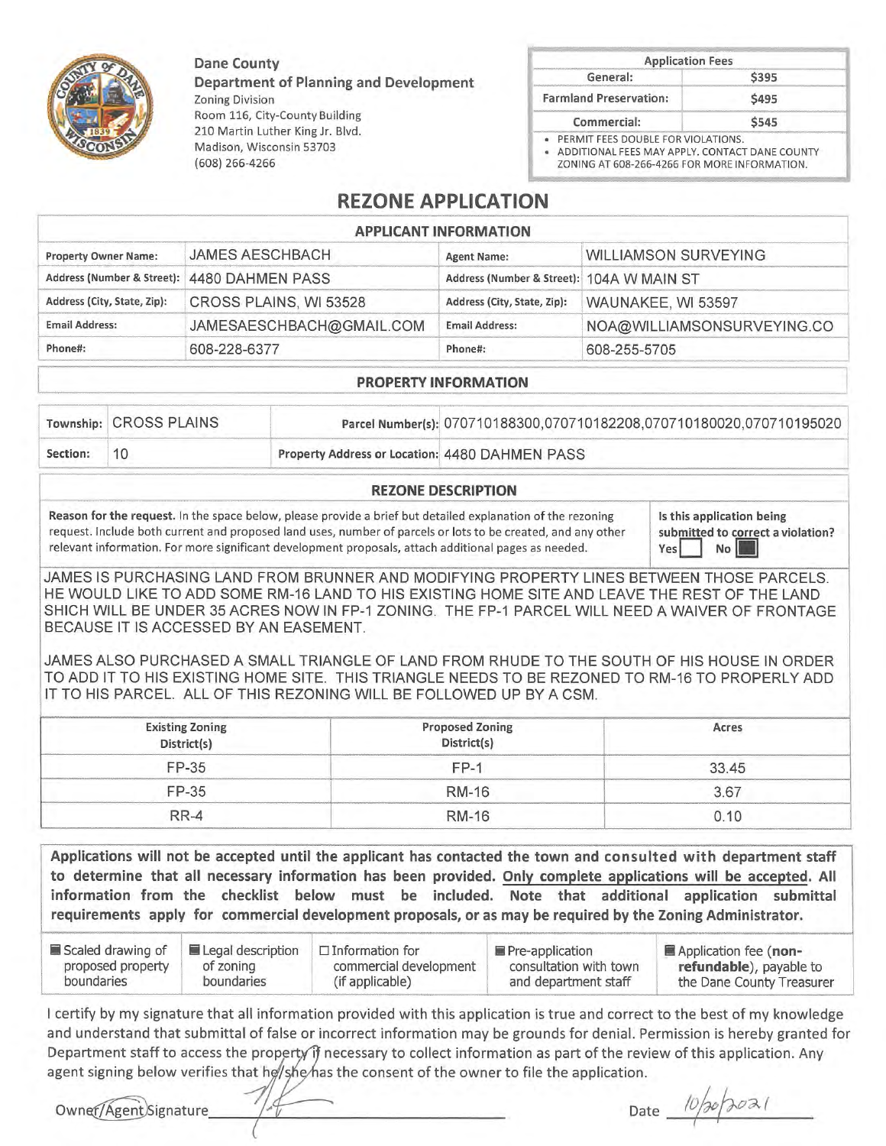**Dane County** 

(608) 266-4266

Madison, Wisconsin 53703

**Department of Planning and Development Zoning Division** Room 116, City-County Building 210 Martin Luther King Jr. Blvd.

| General:                      |       |  |
|-------------------------------|-------|--|
|                               | \$395 |  |
| <b>Farmland Preservation:</b> | \$495 |  |
| Commercial:                   | \$545 |  |

ZONING AT 608-266-4266 FOR MORE INFORMATION.

### **REZONE APPLICATION**

|                             |                                             | <b>APPLICANT INFORMATION</b>              |                             |  |
|-----------------------------|---------------------------------------------|-------------------------------------------|-----------------------------|--|
| <b>Property Owner Name:</b> | <b>JAMES AESCHBACH</b>                      | <b>Agent Name:</b>                        | <b>WILLIAMSON SURVEYING</b> |  |
|                             | Address (Number & Street): 4480 DAHMEN PASS | Address (Number & Street): 104A W MAIN ST |                             |  |
| Address (City, State, Zip): | CROSS PLAINS, WI 53528                      | Address (City, State, Zip):               | WAUNAKEE, WI 53597          |  |
| <b>Email Address:</b>       | JAMESAESCHBACH@GMAIL.COM                    | <b>Email Address:</b>                     | NOA@WILLIAMSONSURVEYING.C   |  |
| Phone#:                     | 608-228-6377                                | Phone#:                                   | 608-255-5705                |  |

#### **PROPERTY INFORMATION**

|          | Township: CROSS PLAINS |                                                | Parcel Number(s): 070710188300,070710182208,070710180020,070710195020 |
|----------|------------------------|------------------------------------------------|-----------------------------------------------------------------------|
| Section: | -10-                   | Property Address or Location: 4480 DAHMEN PASS |                                                                       |

#### **REZONE DESCRIPTION**

Reason for the request. In the space below, please provide a brief but detailed explanation of the rezoning request. Include both current and proposed land uses, number of parcels or lots to be created, and any other relevant information. For more significant development proposals, attach additional pages as needed.

Is this application being submitted to correct a violation?  $Yes$ No

 $\circ$ 

JAMES IS PURCHASING LAND FROM BRUNNER AND MODIFYING PROPERTY LINES BETWEEN THOSE PARCELS. HE WOULD LIKE TO ADD SOME RM-16 LAND TO HIS EXISTING HOME SITE AND LEAVE THE REST OF THE LAND SHICH WILL BE UNDER 35 ACRES NOW IN FP-1 ZONING. THE FP-1 PARCEL WILL NEED A WAIVER OF FRONTAGE BECAUSE IT IS ACCESSED BY AN EASEMENT.

JAMES ALSO PURCHASED A SMALL TRIANGLE OF LAND FROM RHUDE TO THE SOUTH OF HIS HOUSE IN ORDER TO ADD IT TO HIS EXISTING HOME SITE. THIS TRIANGLE NEEDS TO BE REZONED TO RM-16 TO PROPERLY ADD IT TO HIS PARCEL. ALL OF THIS REZONING WILL BE FOLLOWED UP BY A CSM.

| <b>Existing Zoning</b><br>District(s) | <b>Proposed Zoning</b><br>District(s) | Acres |
|---------------------------------------|---------------------------------------|-------|
| FP-35                                 | $FP-1$                                | 33.45 |
| FP-35                                 | <b>RM-16</b>                          | 3.67  |
| $RR-4$                                | <b>RM-16</b>                          | 0.10  |

Applications will not be accepted until the applicant has contacted the town and consulted with department staff to determine that all necessary information has been provided. Only complete applications will be accepted. All information from the checklist below must be included. Note that additional application submittal requirements apply for commercial development proposals, or as may be required by the Zoning Administrator.

| Scaled drawing of | Legal description | $\Box$ Information for | <b>Pre-application</b> | Application fee (non-     |
|-------------------|-------------------|------------------------|------------------------|---------------------------|
| proposed property | of zoning         | commercial development | consultation with town | refundable), payable to   |
| boundaries        | boundaries        | (if applicable)        | and department staff   | the Dane County Treasurer |

I certify by my signature that all information provided with this application is true and correct to the best of my knowledge and understand that submittal of false or incorrect information may be grounds for denial. Permission is hereby granted for Department staff to access the property if necessary to collect information as part of the review of this application. Any agent signing below verifies that he/she/has the consent of the owner to file the application.

Owner/Agent)Signature

Date  $10/30/3021$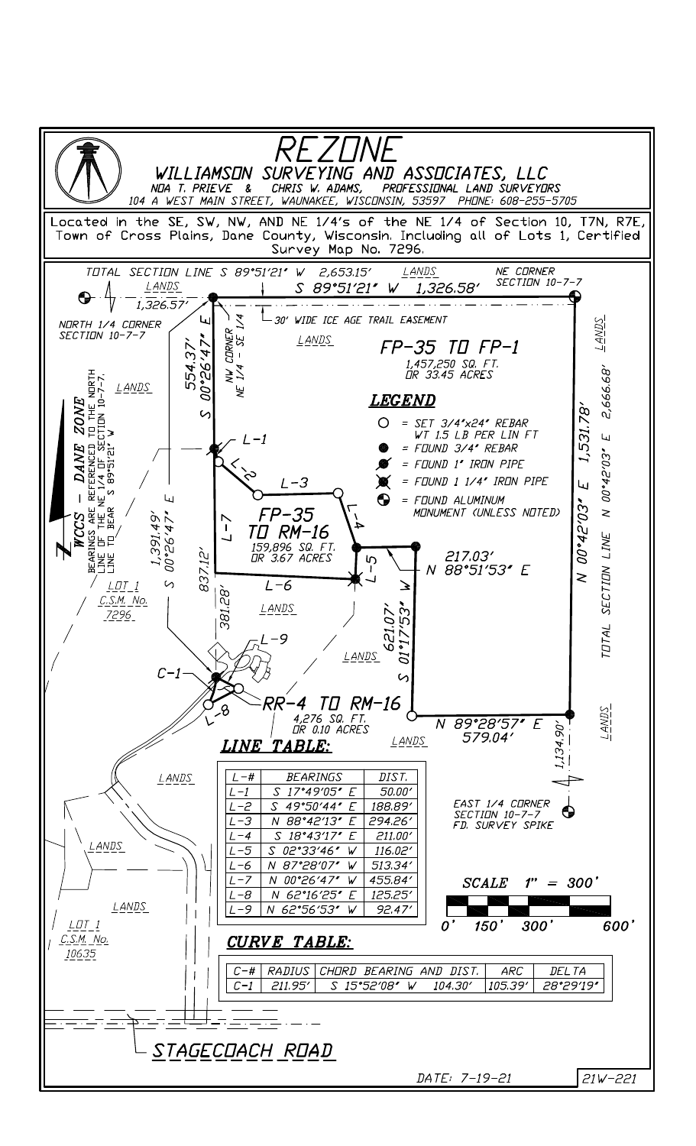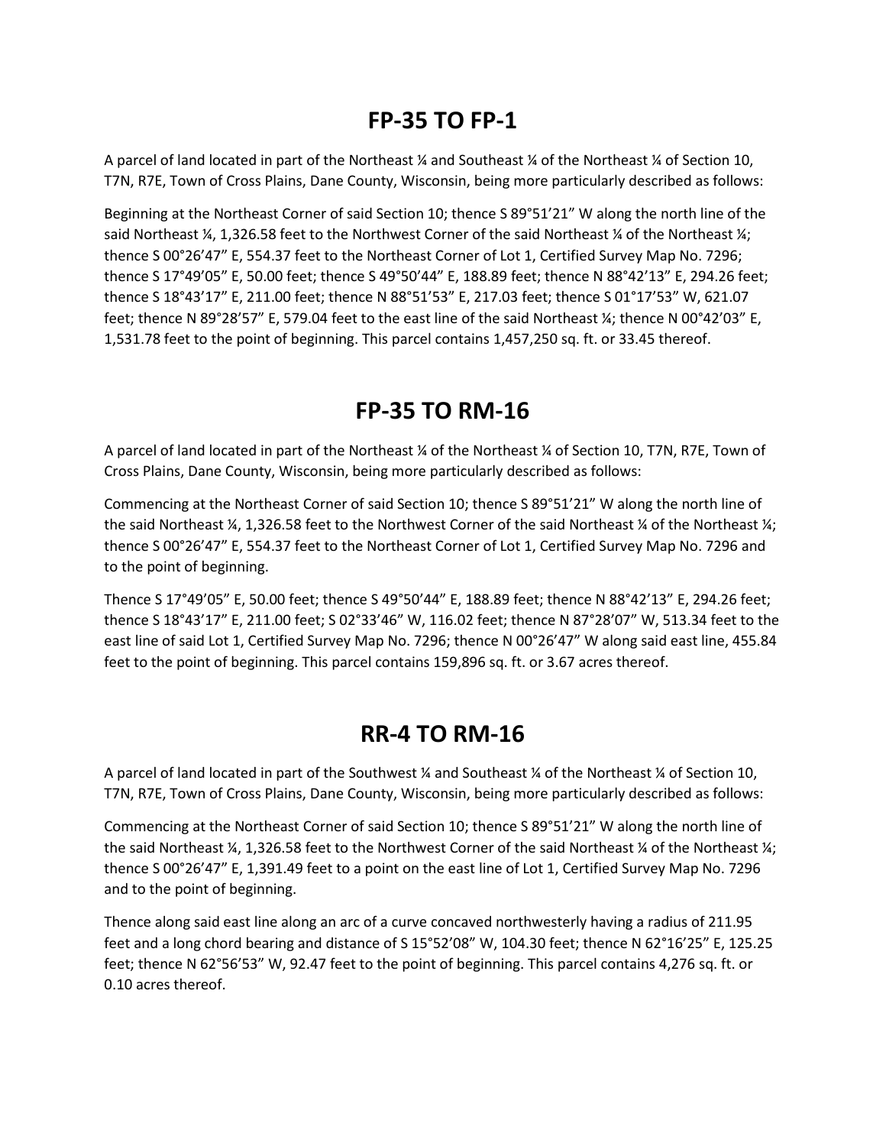# **FP-35 TO FP-1**

A parcel of land located in part of the Northeast ¼ and Southeast ¼ of the Northeast ¼ of Section 10, T7N, R7E, Town of Cross Plains, Dane County, Wisconsin, being more particularly described as follows:

Beginning at the Northeast Corner of said Section 10; thence S 89°51'21" W along the north line of the said Northeast  $\frac{1}{4}$ , 1,326.58 feet to the Northwest Corner of the said Northeast  $\frac{1}{4}$  of the Northeast  $\frac{1}{4}$ ; thence S 00°26'47" E, 554.37 feet to the Northeast Corner of Lot 1, Certified Survey Map No. 7296; thence S 17°49'05" E, 50.00 feet; thence S 49°50'44" E, 188.89 feet; thence N 88°42'13" E, 294.26 feet; thence S 18°43'17" E, 211.00 feet; thence N 88°51'53" E, 217.03 feet; thence S 01°17'53" W, 621.07 feet; thence N 89°28'57" E, 579.04 feet to the east line of the said Northeast ¼; thence N 00°42'03" E, 1,531.78 feet to the point of beginning. This parcel contains 1,457,250 sq. ft. or 33.45 thereof.

# **FP-35 TO RM-16**

A parcel of land located in part of the Northeast ¼ of the Northeast ¼ of Section 10, T7N, R7E, Town of Cross Plains, Dane County, Wisconsin, being more particularly described as follows:

Commencing at the Northeast Corner of said Section 10; thence S 89°51'21" W along the north line of the said Northeast ¼, 1,326.58 feet to the Northwest Corner of the said Northeast ¼ of the Northeast ¼; thence S 00°26'47" E, 554.37 feet to the Northeast Corner of Lot 1, Certified Survey Map No. 7296 and to the point of beginning.

Thence S 17°49'05" E, 50.00 feet; thence S 49°50'44" E, 188.89 feet; thence N 88°42'13" E, 294.26 feet; thence S 18°43'17" E, 211.00 feet; S 02°33'46" W, 116.02 feet; thence N 87°28'07" W, 513.34 feet to the east line of said Lot 1, Certified Survey Map No. 7296; thence N 00°26'47" W along said east line, 455.84 feet to the point of beginning. This parcel contains 159,896 sq. ft. or 3.67 acres thereof.

### **RR-4 TO RM-16**

A parcel of land located in part of the Southwest ¼ and Southeast ¼ of the Northeast ¼ of Section 10, T7N, R7E, Town of Cross Plains, Dane County, Wisconsin, being more particularly described as follows:

Commencing at the Northeast Corner of said Section 10; thence S 89°51'21" W along the north line of the said Northeast ¼, 1,326.58 feet to the Northwest Corner of the said Northeast ¼ of the Northeast ¼; thence S 00°26'47" E, 1,391.49 feet to a point on the east line of Lot 1, Certified Survey Map No. 7296 and to the point of beginning.

Thence along said east line along an arc of a curve concaved northwesterly having a radius of 211.95 feet and a long chord bearing and distance of S 15°52'08" W, 104.30 feet; thence N 62°16'25" E, 125.25 feet; thence N 62°56'53" W, 92.47 feet to the point of beginning. This parcel contains 4,276 sq. ft. or 0.10 acres thereof.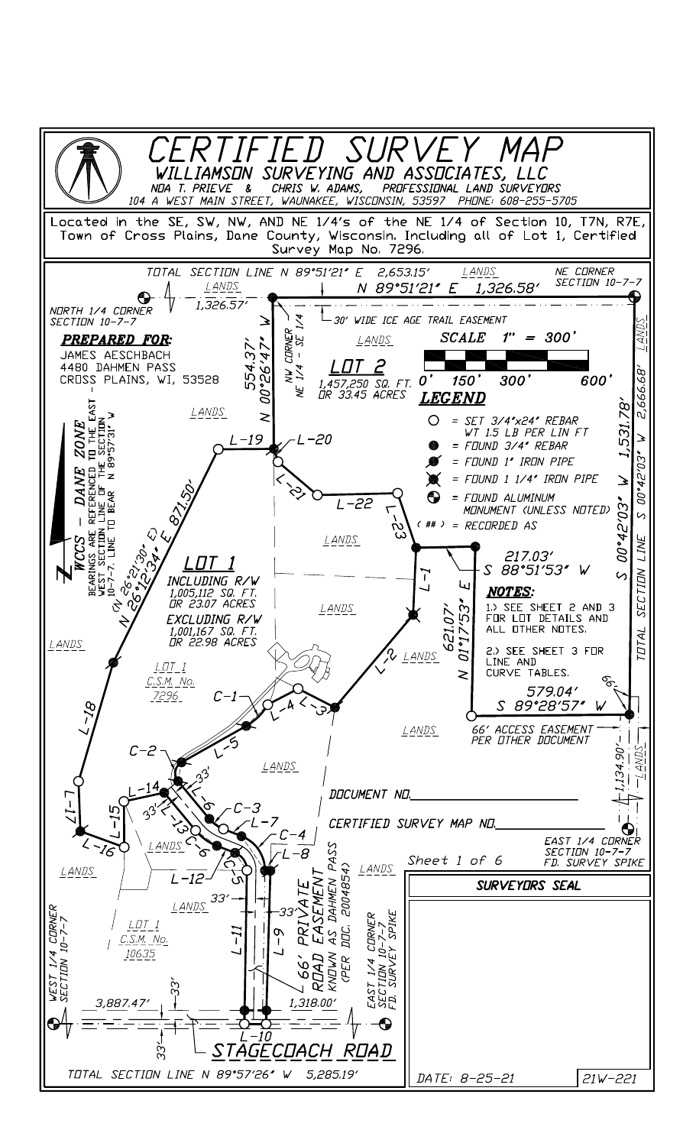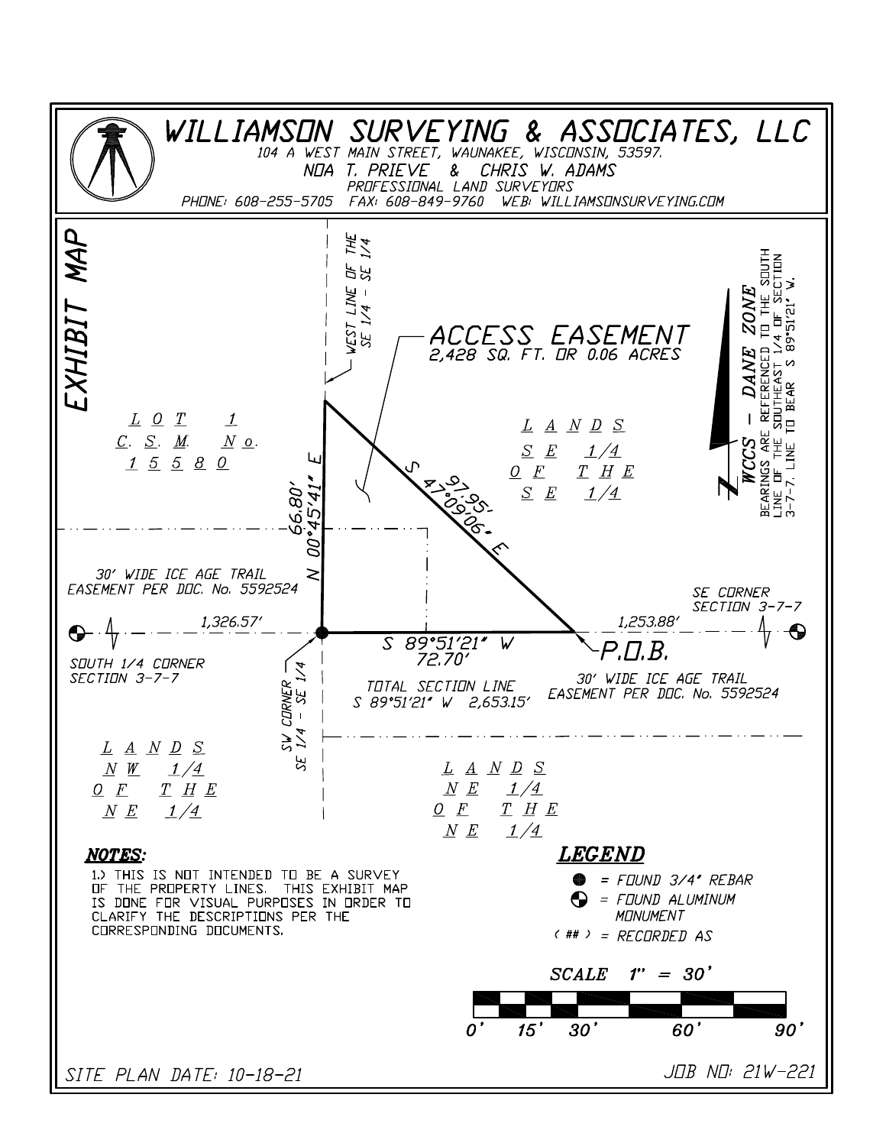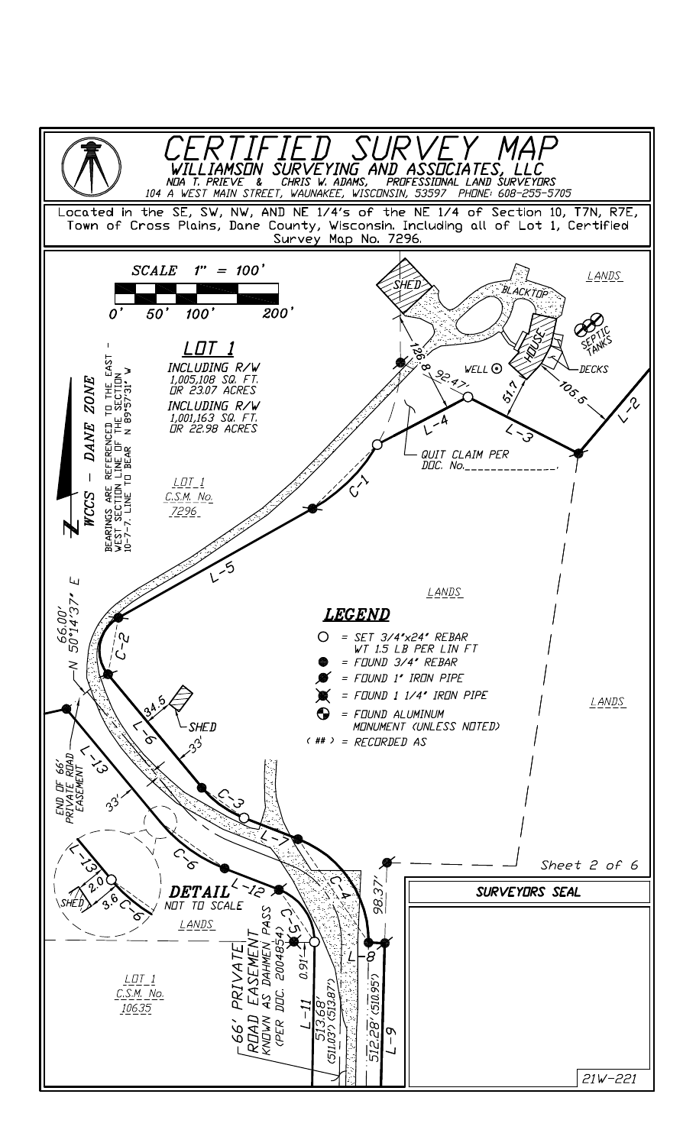